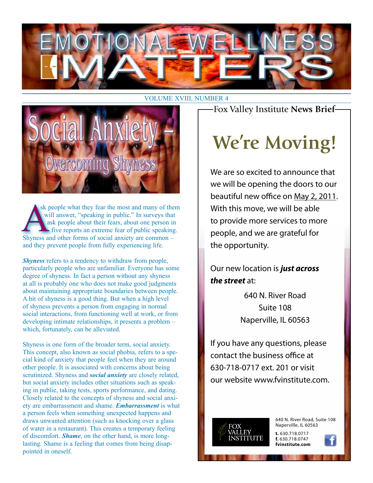

#### VOLUME XVIII, NUMBER 4



sk people what they fear the most and many of them will answer, "speaking in public." In surveys that ask people about their fears, about one person in five reports an extreme fear of public speaking. Shyness and other forms of social anxiety are common – and they prevent people from fully experiencing life.

*Shyness* refers to a tendency to withdraw from people, particularly people who are unfamiliar. Everyone has some degree of shyness. In fact a person without any shyness at all is probably one who does not make good judgments about maintaining appropriate boundaries between people. A bit of shyness is a good thing. But when a high level of shyness prevents a person from engaging in normal social interactions, from functioning well at work, or from developing intimate relationships, it presents a problem – which, fortunately, can be alleviated.

Shyness is one form of the broader term, social anxiety. This concept, also known as social phobia, refers to a special kind of anxiety that people feel when they are around other people. It is associated with concerns about being scrutinized. Shyness and *social anxiety* are closely related, but social anxiety includes other situations such as speaking in public, taking tests, sports performance, and dating. Closely related to the concepts of shyness and social anxiety are embarrassment and shame. *Embarrassment* is what a person feels when something unexpected happens and draws unwanted attention (such as knocking over a glass of water in a restaurant). This creates a temporary feeling of discomfort. *Shame*, on the other hand, is more longlasting. Shame is a feeling that comes from being disappointed in oneself.

Fox Valley Institute **News Brief**

## **We're Moving!**

We are so excited to announce that we will be opening the doors to our beautiful new office on May 2, 2011. With this move, we will be able to provide more services to more people, and we are grateful for the opportunity.

Our new location is *just across the street* at:

> 640 N. River Road Suite 108 Naperville, IL 60563

If you have any questions, please contact the business office at 630-718-0717 ext. 201 or visit our website www.fvinstitute.com.



640 N. River Road, Suite 108 Naperville, IL 60563

**t.** 630.718.0717 **f.** 630.718.0747 **fvinstitute.com**

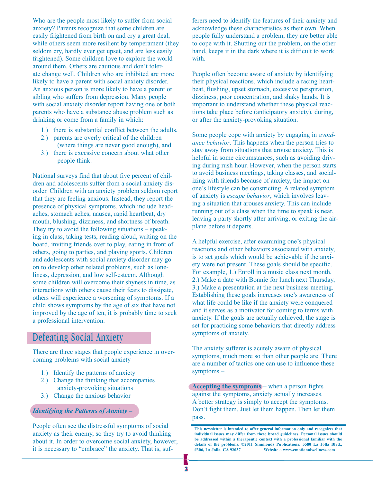Who are the people most likely to suffer from social anxiety? Parents recognize that some children are easily frightened from birth on and cry a great deal, while others seem more resilient by temperament (they seldom cry, hardly ever get upset, and are less easily frightened). Some children love to explore the world around them. Others are cautious and don't tolerate change well. Children who are inhibited are more likely to have a parent with social anxiety disorder. An anxious person is more likely to have a parent or sibling who suffers from depression. Many people with social anxiety disorder report having one or both parents who have a substance abuse problem such as drinking or come from a family in which:

- 1.) there is substantial conflict between the adults,
- 2.) parents are overly critical of the children (where things are never good enough), and
- 3.) there is excessive concern about what other people think.

National surveys find that about five percent of children and adolescents suffer from a social anxiety disorder. Children with an anxiety problem seldom report that they are feeling anxious. Instead, they report the presence of physical symptoms, which include headaches, stomach aches, nausea, rapid heartbeat, dry mouth, blushing, dizziness, and shortness of breath. They try to avoid the following situations – speaking in class, taking tests, reading aloud, writing on the board, inviting friends over to play, eating in front of others, going to parties, and playing sports. Children and adolescents with social anxiety disorder may go on to develop other related problems, such as loneliness, depression, and low self-esteem. Although some children will overcome their shyness in time, as interactions with others cause their fears to dissipate, others will experience a worsening of symptoms. If a child shows symptoms by the age of six that have not improved by the age of ten, it is probably time to seek a professional intervention.

### Defeating Social Anxiety

There are three stages that people experience in overcoming problems with social anxiety –

- 1.) Identify the patterns of anxiety
- 2.) Change the thinking that accompanies anxiety-provoking situations
- 3.) Change the anxious behavior

#### *Identifying the Patterns of Anxiety –*

People often see the distressful symptoms of social anxiety as their enemy, so they try to avoid thinking about it. In order to overcome social anxiety, however, it is necessary to "embrace" the anxiety. That is, suf-

ferers need to identify the features of their anxiety and acknowledge these characteristics as their own. When people fully understand a problem, they are better able to cope with it. Shutting out the problem, on the other hand, keeps it in the dark where it is difficult to work with.

People often become aware of anxiety by identifying their physical reactions, which include a racing heartbeat, flushing, upset stomach, excessive perspiration, dizziness, poor concentration, and shaky hands. It is important to understand whether these physical reactions take place before (anticipatory anxiety), during, or after the anxiety-provoking situation.

Some people cope with anxiety by engaging in *avoidance behavior*. This happens when the person tries to stay away from situations that arouse anxiety. This is helpful in some circumstances, such as avoiding driving during rush hour. However, when the person starts to avoid business meetings, taking classes, and socializing with friends because of anxiety, the impact on one's lifestyle can be constricting. A related symptom of anxiety is *escape behavior*, which involves leaving a situation that arouses anxiety. This can include running out of a class when the time to speak is near, leaving a party shortly after arriving, or exiting the airplane before it departs.

A helpful exercise, after examining one's physical reactions and other behaviors associated with anxiety, is to set goals which would be achievable if the anxiety were not present. These goals should be specific. For example, 1.) Enroll in a music class next month, 2.) Make a date with Bonnie for lunch next Thursday, 3.) Make a presentation at the next business meeting. Establishing these goals increases one's awareness of what life could be like if the anxiety were conquered – and it serves as a motivator for coming to terms with anxiety. If the goals are actually achieved, the stage is set for practicing some behaviors that directly address symptoms of anxiety.

The anxiety sufferer is acutely aware of physical symptoms, much more so than other people are. There are a number of tactics one can use to influence these symptoms –

**Accepting the symptoms** – when a person fights against the symptoms, anxiety actually increases. A better strategy is simply to accept the symptoms. Don't fight them. Just let them happen. Then let them pass.

**This newsletter is intended to offer general information only and recognizes that individual issues may differ from these broad guidelines. Personal issues should be addressed within a therapeutic context with a professional familiar with the**  details of the problems. ©2011 Simmonds Publications: 5580 La Jolla Blvd., #306. La Jolla. CA 92037 Website ~ www.emotionalwellness.com **Website ~ www.emotionalwellness.com**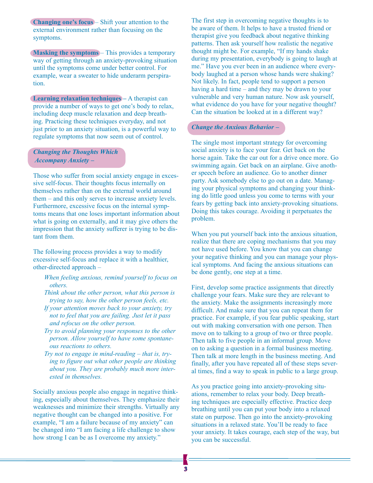**Changing one's focus** – Shift your attention to the external environment rather than focusing on the symptoms.

**Masking the symptoms** – This provides a temporary way of getting through an anxiety-provoking situation until the symptoms come under better control. For example, wear a sweater to hide underarm perspiration.

**Learning relaxation techniques –** A therapist can provide a number of ways to get one's body to relax, including deep muscle relaxation and deep breathing. Practicing these techniques everyday, and not just prior to an anxiety situation, is a powerful way to regulate symptoms that now seem out of control.

*Changing the Thoughts Which Accompany Anxiety –*

Those who suffer from social anxiety engage in excessive self-focus. Their thoughts focus internally on themselves rather than on the external world around them – and this only serves to increase anxiety levels. Furthermore, excessive focus on the internal symptoms means that one loses important information about what is going on externally, and it may give others the impression that the anxiety sufferer is trying to be distant from them.

The following process provides a way to modify excessive self-focus and replace it with a healthier, other-directed approach –

- *When feeling anxious, remind yourself to focus on others.*
- *Think about the other person, what this person is trying to say, how the other person feels, etc.*
- *If your attention moves back to your anxiety, try not to feel that you are failing. Just let it pass and refocus on the other person.*
- *Try to avoid planning your responses to the other person. Allow yourself to have some spontaneous reactions to others.*
- *Try not to engage in mind-reading that is, trying to figure out what other people are thinking about you. They are probably much more interested in themselves.*

Socially anxious people also engage in negative thinking, especially about themselves. They emphasize their weaknesses and minimize their strengths. Virtually any negative thought can be changed into a positive. For example, "I am a failure because of my anxiety" can be changed into "I am facing a life challenge to show how strong I can be as I overcome my anxiety."

The first step in overcoming negative thoughts is to be aware of them. It helps to have a trusted friend or therapist give you feedback about negative thinking patterns. Then ask yourself how realistic the negative thought might be. For example, "If my hands shake during my presentation, everybody is going to laugh at me." Have you ever been in an audience where everybody laughed at a person whose hands were shaking? Not likely. In fact, people tend to support a person having a hard time – and they may be drawn to your vulnerable and very human nature. Now ask yourself, what evidence do you have for your negative thought? Can the situation be looked at in a different way?

#### *Change the Anxious Behavior –*

The single most important strategy for overcoming social anxiety is to face your fear. Get back on the horse again. Take the car out for a drive once more. Go swimming again. Get back on an airplane. Give another speech before an audience. Go to another dinner party. Ask somebody else to go out on a date. Managing your physical symptoms and changing your thinking do little good unless you come to terms with your fears by getting back into anxiety-provoking situations. Doing this takes courage. Avoiding it perpetuates the problem.

When you put yourself back into the anxious situation, realize that there are coping mechanisms that you may not have used before. You know that you can change your negative thinking and you can manage your physical symptoms. And facing the anxious situations can be done gently, one step at a time.

First, develop some practice assignments that directly challenge your fears. Make sure they are relevant to the anxiety. Make the assignments increasingly more difficult. And make sure that you can repeat them for practice. For example, if you fear public speaking, start out with making conversation with one person. Then move on to talking to a group of two or three people. Then talk to five people in an informal group. Move on to asking a question in a formal business meeting. Then talk at more length in the business meeting. And finally, after you have repeated all of these steps several times, find a way to speak in public to a large group.

As you practice going into anxiety-provoking situations, remember to relax your body. Deep breathing techniques are especially effective. Practice deep breathing until you can put your body into a relaxed state on purpose. Then go into the anxiety-provoking situations in a relaxed state. You'll be ready to face your anxiety. It takes courage, each step of the way, but you can be successful.